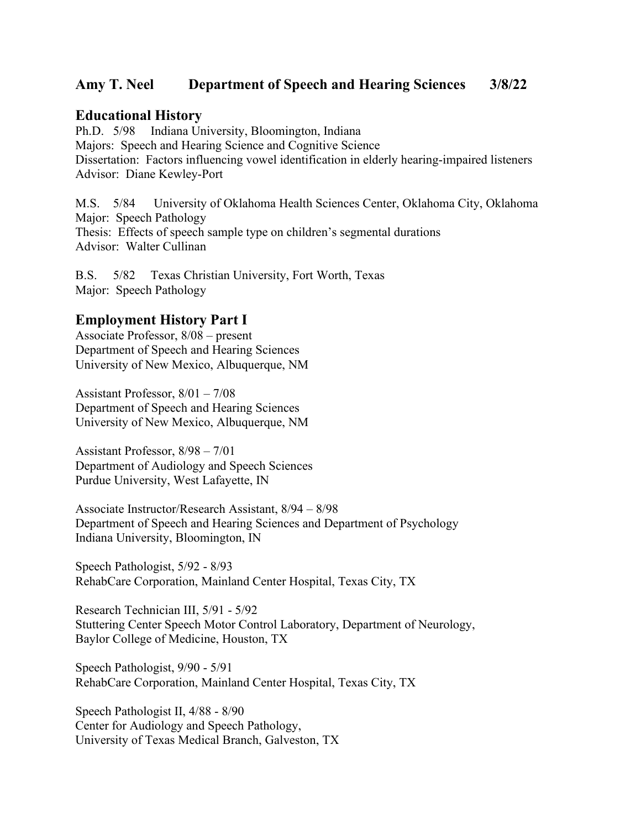## **Amy T. Neel Department of Speech and Hearing Sciences 3/8/22**

## **Educational History**

Ph.D. 5/98 Indiana University, Bloomington, Indiana Majors: Speech and Hearing Science and Cognitive Science Dissertation: Factors influencing vowel identification in elderly hearing-impaired listeners Advisor: Diane Kewley-Port

M.S. 5/84 University of Oklahoma Health Sciences Center, Oklahoma City, Oklahoma Major: Speech Pathology Thesis: Effects of speech sample type on children's segmental durations Advisor: Walter Cullinan

B.S. 5/82 Texas Christian University, Fort Worth, Texas Major: Speech Pathology

## **Employment History Part I**

Associate Professor, 8/08 – present Department of Speech and Hearing Sciences University of New Mexico, Albuquerque, NM

Assistant Professor, 8/01 – 7/08 Department of Speech and Hearing Sciences University of New Mexico, Albuquerque, NM

Assistant Professor, 8/98 – 7/01 Department of Audiology and Speech Sciences Purdue University, West Lafayette, IN

Associate Instructor/Research Assistant, 8/94 – 8/98 Department of Speech and Hearing Sciences and Department of Psychology Indiana University, Bloomington, IN

Speech Pathologist, 5/92 - 8/93 RehabCare Corporation, Mainland Center Hospital, Texas City, TX

Research Technician III, 5/91 - 5/92 Stuttering Center Speech Motor Control Laboratory, Department of Neurology, Baylor College of Medicine, Houston, TX

Speech Pathologist, 9/90 - 5/91 RehabCare Corporation, Mainland Center Hospital, Texas City, TX

Speech Pathologist II, 4/88 - 8/90 Center for Audiology and Speech Pathology, University of Texas Medical Branch, Galveston, TX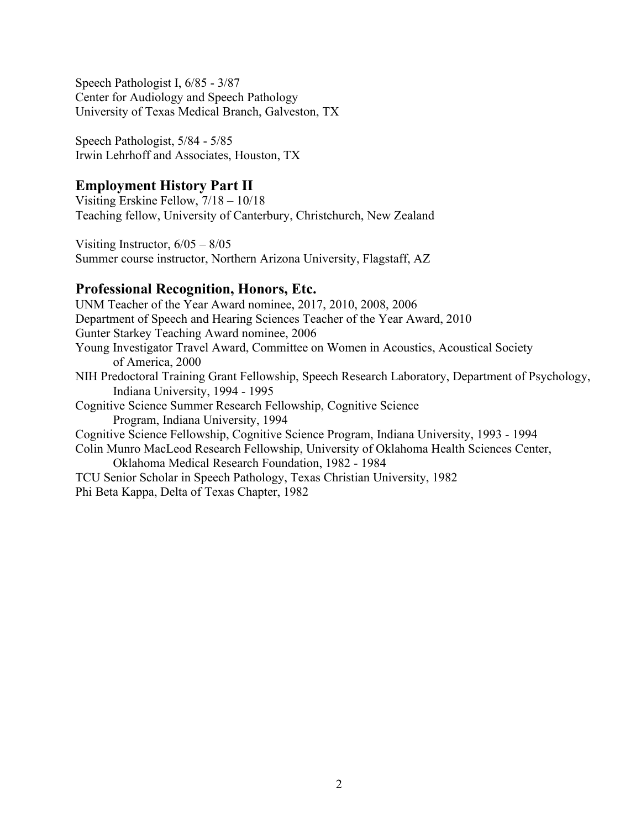Speech Pathologist I, 6/85 - 3/87 Center for Audiology and Speech Pathology University of Texas Medical Branch, Galveston, TX

Speech Pathologist, 5/84 - 5/85 Irwin Lehrhoff and Associates, Houston, TX

# **Employment History Part II**

Visiting Erskine Fellow, 7/18 – 10/18 Teaching fellow, University of Canterbury, Christchurch, New Zealand

Visiting Instructor, 6/05 – 8/05 Summer course instructor, Northern Arizona University, Flagstaff, AZ

# **Professional Recognition, Honors, Etc.**

UNM Teacher of the Year Award nominee, 2017, 2010, 2008, 2006 Department of Speech and Hearing Sciences Teacher of the Year Award, 2010 Gunter Starkey Teaching Award nominee, 2006 Young Investigator Travel Award, Committee on Women in Acoustics, Acoustical Society of America, 2000 NIH Predoctoral Training Grant Fellowship, Speech Research Laboratory, Department of Psychology, Indiana University, 1994 - 1995 Cognitive Science Summer Research Fellowship, Cognitive Science Program, Indiana University, 1994 Cognitive Science Fellowship, Cognitive Science Program, Indiana University, 1993 - 1994 Colin Munro MacLeod Research Fellowship, University of Oklahoma Health Sciences Center, Oklahoma Medical Research Foundation, 1982 - 1984 TCU Senior Scholar in Speech Pathology, Texas Christian University, 1982 Phi Beta Kappa, Delta of Texas Chapter, 1982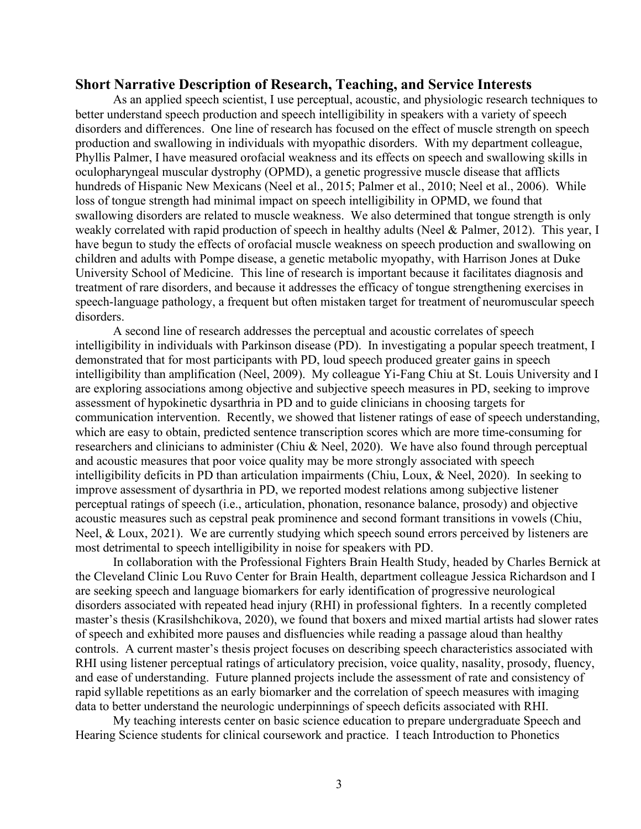#### **Short Narrative Description of Research, Teaching, and Service Interests**

As an applied speech scientist, I use perceptual, acoustic, and physiologic research techniques to better understand speech production and speech intelligibility in speakers with a variety of speech disorders and differences. One line of research has focused on the effect of muscle strength on speech production and swallowing in individuals with myopathic disorders. With my department colleague, Phyllis Palmer, I have measured orofacial weakness and its effects on speech and swallowing skills in oculopharyngeal muscular dystrophy (OPMD), a genetic progressive muscle disease that afflicts hundreds of Hispanic New Mexicans (Neel et al., 2015; Palmer et al., 2010; Neel et al., 2006). While loss of tongue strength had minimal impact on speech intelligibility in OPMD, we found that swallowing disorders are related to muscle weakness. We also determined that tongue strength is only weakly correlated with rapid production of speech in healthy adults (Neel & Palmer, 2012). This year, I have begun to study the effects of orofacial muscle weakness on speech production and swallowing on children and adults with Pompe disease, a genetic metabolic myopathy, with Harrison Jones at Duke University School of Medicine. This line of research is important because it facilitates diagnosis and treatment of rare disorders, and because it addresses the efficacy of tongue strengthening exercises in speech-language pathology, a frequent but often mistaken target for treatment of neuromuscular speech disorders.

A second line of research addresses the perceptual and acoustic correlates of speech intelligibility in individuals with Parkinson disease (PD). In investigating a popular speech treatment, I demonstrated that for most participants with PD, loud speech produced greater gains in speech intelligibility than amplification (Neel, 2009). My colleague Yi-Fang Chiu at St. Louis University and I are exploring associations among objective and subjective speech measures in PD, seeking to improve assessment of hypokinetic dysarthria in PD and to guide clinicians in choosing targets for communication intervention. Recently, we showed that listener ratings of ease of speech understanding, which are easy to obtain, predicted sentence transcription scores which are more time-consuming for researchers and clinicians to administer (Chiu & Neel, 2020). We have also found through perceptual and acoustic measures that poor voice quality may be more strongly associated with speech intelligibility deficits in PD than articulation impairments (Chiu, Loux, & Neel, 2020). In seeking to improve assessment of dysarthria in PD, we reported modest relations among subjective listener perceptual ratings of speech (i.e., articulation, phonation, resonance balance, prosody) and objective acoustic measures such as cepstral peak prominence and second formant transitions in vowels (Chiu, Neel, & Loux, 2021). We are currently studying which speech sound errors perceived by listeners are most detrimental to speech intelligibility in noise for speakers with PD.

In collaboration with the Professional Fighters Brain Health Study, headed by Charles Bernick at the Cleveland Clinic Lou Ruvo Center for Brain Health, department colleague Jessica Richardson and I are seeking speech and language biomarkers for early identification of progressive neurological disorders associated with repeated head injury (RHI) in professional fighters. In a recently completed master's thesis (Krasilshchikova, 2020), we found that boxers and mixed martial artists had slower rates of speech and exhibited more pauses and disfluencies while reading a passage aloud than healthy controls. A current master's thesis project focuses on describing speech characteristics associated with RHI using listener perceptual ratings of articulatory precision, voice quality, nasality, prosody, fluency, and ease of understanding. Future planned projects include the assessment of rate and consistency of rapid syllable repetitions as an early biomarker and the correlation of speech measures with imaging data to better understand the neurologic underpinnings of speech deficits associated with RHI.

My teaching interests center on basic science education to prepare undergraduate Speech and Hearing Science students for clinical coursework and practice. I teach Introduction to Phonetics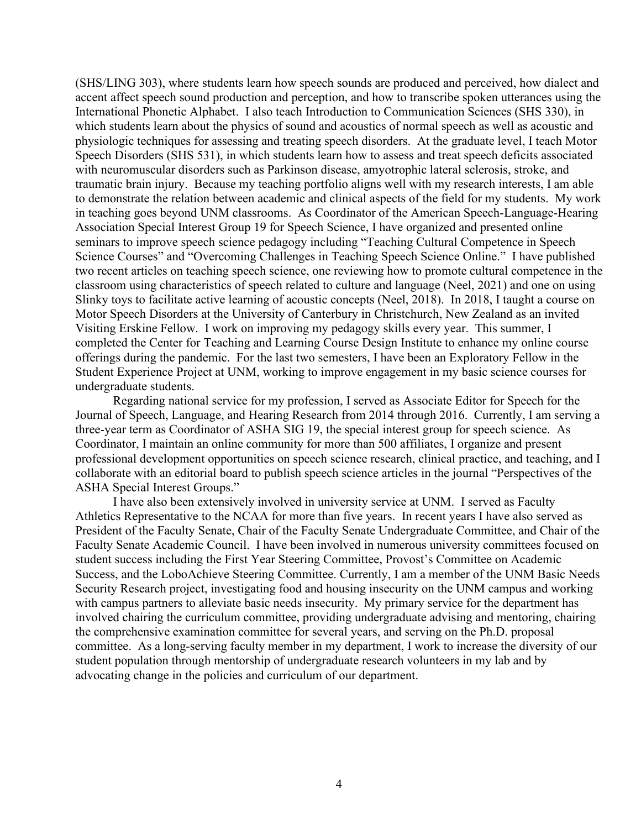(SHS/LING 303), where students learn how speech sounds are produced and perceived, how dialect and accent affect speech sound production and perception, and how to transcribe spoken utterances using the International Phonetic Alphabet. I also teach Introduction to Communication Sciences (SHS 330), in which students learn about the physics of sound and acoustics of normal speech as well as acoustic and physiologic techniques for assessing and treating speech disorders. At the graduate level, I teach Motor Speech Disorders (SHS 531), in which students learn how to assess and treat speech deficits associated with neuromuscular disorders such as Parkinson disease, amyotrophic lateral sclerosis, stroke, and traumatic brain injury. Because my teaching portfolio aligns well with my research interests, I am able to demonstrate the relation between academic and clinical aspects of the field for my students. My work in teaching goes beyond UNM classrooms. As Coordinator of the American Speech-Language-Hearing Association Special Interest Group 19 for Speech Science, I have organized and presented online seminars to improve speech science pedagogy including "Teaching Cultural Competence in Speech Science Courses" and "Overcoming Challenges in Teaching Speech Science Online." I have published two recent articles on teaching speech science, one reviewing how to promote cultural competence in the classroom using characteristics of speech related to culture and language (Neel, 2021) and one on using Slinky toys to facilitate active learning of acoustic concepts (Neel, 2018). In 2018, I taught a course on Motor Speech Disorders at the University of Canterbury in Christchurch, New Zealand as an invited Visiting Erskine Fellow. I work on improving my pedagogy skills every year. This summer, I completed the Center for Teaching and Learning Course Design Institute to enhance my online course offerings during the pandemic. For the last two semesters, I have been an Exploratory Fellow in the Student Experience Project at UNM, working to improve engagement in my basic science courses for undergraduate students.

Regarding national service for my profession, I served as Associate Editor for Speech for the Journal of Speech, Language, and Hearing Research from 2014 through 2016. Currently, I am serving a three-year term as Coordinator of ASHA SIG 19, the special interest group for speech science. As Coordinator, I maintain an online community for more than 500 affiliates, I organize and present professional development opportunities on speech science research, clinical practice, and teaching, and I collaborate with an editorial board to publish speech science articles in the journal "Perspectives of the ASHA Special Interest Groups."

I have also been extensively involved in university service at UNM. I served as Faculty Athletics Representative to the NCAA for more than five years. In recent years I have also served as President of the Faculty Senate, Chair of the Faculty Senate Undergraduate Committee, and Chair of the Faculty Senate Academic Council. I have been involved in numerous university committees focused on student success including the First Year Steering Committee, Provost's Committee on Academic Success, and the LoboAchieve Steering Committee. Currently, I am a member of the UNM Basic Needs Security Research project, investigating food and housing insecurity on the UNM campus and working with campus partners to alleviate basic needs insecurity. My primary service for the department has involved chairing the curriculum committee, providing undergraduate advising and mentoring, chairing the comprehensive examination committee for several years, and serving on the Ph.D. proposal committee. As a long-serving faculty member in my department, I work to increase the diversity of our student population through mentorship of undergraduate research volunteers in my lab and by advocating change in the policies and curriculum of our department.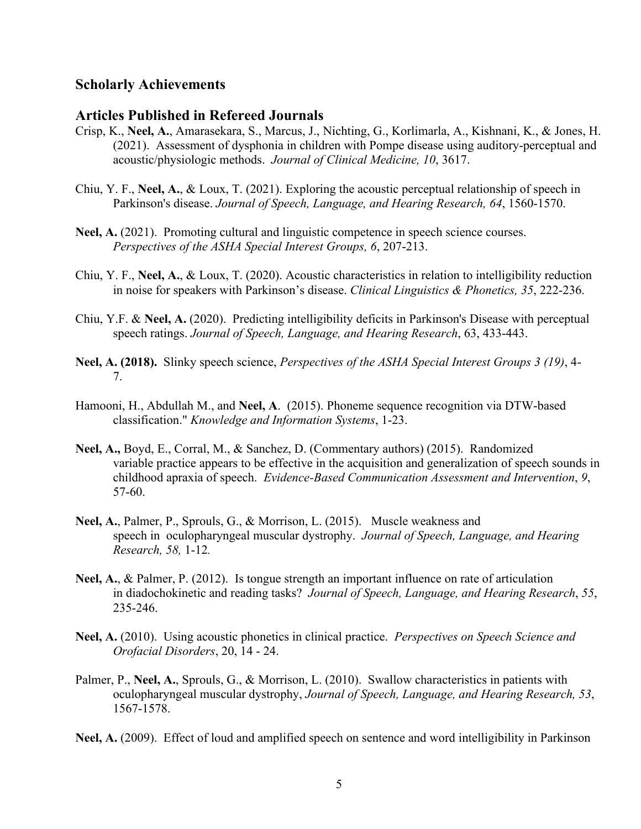## **Scholarly Achievements**

## **Articles Published in Refereed Journals**

- Crisp, K., **Neel, A.**, Amarasekara, S., Marcus, J., Nichting, G., Korlimarla, A., Kishnani, K., & Jones, H. (2021). Assessment of dysphonia in children with Pompe disease using auditory-perceptual and acoustic/physiologic methods. *Journal of Clinical Medicine, 10*, 3617.
- Chiu, Y. F., **Neel, A.**, & Loux, T. (2021). Exploring the acoustic perceptual relationship of speech in Parkinson's disease. *Journal of Speech, Language, and Hearing Research, 64*, 1560-1570.
- **Neel, A.** (2021). Promoting cultural and linguistic competence in speech science courses. *Perspectives of the ASHA Special Interest Groups, 6*, 207-213.
- Chiu, Y. F., **Neel, A.**, & Loux, T. (2020). Acoustic characteristics in relation to intelligibility reduction in noise for speakers with Parkinson's disease. *Clinical Linguistics & Phonetics, 35*, 222-236.
- Chiu, Y.F. & **Neel, A.** (2020). Predicting intelligibility deficits in Parkinson's Disease with perceptual speech ratings. *Journal of Speech, Language, and Hearing Research*, 63, 433-443.
- **Neel, A. (2018).** Slinky speech science, *Perspectives of the ASHA Special Interest Groups 3 (19)*, 4- 7.
- Hamooni, H., Abdullah M., and **Neel, A**. (2015). Phoneme sequence recognition via DTW-based classification." *Knowledge and Information Systems*, 1-23.
- **Neel, A.,** Boyd, E., Corral, M., & Sanchez, D. (Commentary authors) (2015). Randomized variable practice appears to be effective in the acquisition and generalization of speech sounds in childhood apraxia of speech. *Evidence-Based Communication Assessment and Intervention*, *9*, 57-60.
- **Neel, A.**, Palmer, P., Sprouls, G., & Morrison, L. (2015). Muscle weakness and speech in oculopharyngeal muscular dystrophy. *Journal of Speech, Language, and Hearing Research, 58,* 1-12*.*
- **Neel, A.**, & Palmer, P. (2012). Is tongue strength an important influence on rate of articulation in diadochokinetic and reading tasks? *Journal of Speech, Language, and Hearing Research*, *55*, 235-246.
- **Neel, A.** (2010). Using acoustic phonetics in clinical practice. *Perspectives on Speech Science and Orofacial Disorders*, 20, 14 - 24.
- Palmer, P., **Neel, A.**, Sprouls, G., & Morrison, L. (2010). Swallow characteristics in patients with oculopharyngeal muscular dystrophy, *Journal of Speech, Language, and Hearing Research, 53*, 1567-1578.

**Neel, A.** (2009). Effect of loud and amplified speech on sentence and word intelligibility in Parkinson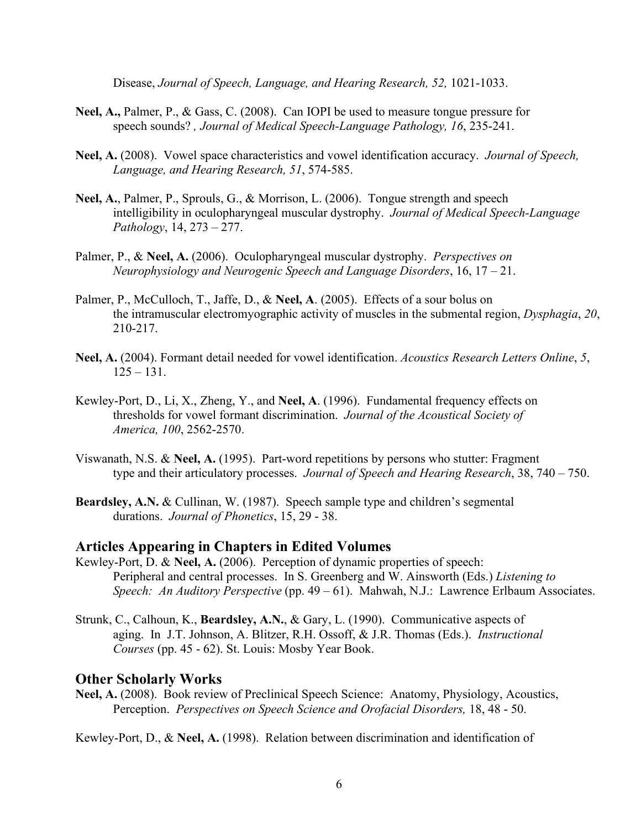Disease, *Journal of Speech, Language, and Hearing Research, 52, 1021-1033.* 

- **Neel, A.,** Palmer, P., & Gass, C. (2008). Can IOPI be used to measure tongue pressure for speech sounds? *, Journal of Medical Speech-Language Pathology, 16*, 235-241.
- **Neel, A.** (2008). Vowel space characteristics and vowel identification accuracy. *Journal of Speech, Language, and Hearing Research, 51*, 574-585.
- **Neel, A.**, Palmer, P., Sprouls, G., & Morrison, L. (2006). Tongue strength and speech intelligibility in oculopharyngeal muscular dystrophy. *Journal of Medical Speech-Language Pathology*, 14, 273 – 277.
- Palmer, P., & **Neel, A.** (2006). Oculopharyngeal muscular dystrophy. *Perspectives on Neurophysiology and Neurogenic Speech and Language Disorders*, 16, 17 – 21.
- Palmer, P., McCulloch, T., Jaffe, D., & **Neel, A**. (2005). Effects of a sour bolus on the intramuscular electromyographic activity of muscles in the submental region, *Dysphagia*, *20*, 210-217.
- **Neel, A.** (2004). Formant detail needed for vowel identification. *Acoustics Research Letters Online*, *5*,  $125 - 131$ .
- Kewley-Port, D., Li, X., Zheng, Y., and **Neel, A**. (1996). Fundamental frequency effects on thresholds for vowel formant discrimination. *Journal of the Acoustical Society of America, 100*, 2562-2570.
- Viswanath, N.S. & **Neel, A.** (1995). Part-word repetitions by persons who stutter: Fragment type and their articulatory processes. *Journal of Speech and Hearing Research*, 38, 740 – 750.
- **Beardsley, A.N. & Cullinan, W. (1987).** Speech sample type and children's segmental durations. *Journal of Phonetics*, 15, 29 - 38.

#### **Articles Appearing in Chapters in Edited Volumes**

- Kewley-Port, D. & **Neel, A.** (2006). Perception of dynamic properties of speech: Peripheral and central processes. In S. Greenberg and W. Ainsworth (Eds.) *Listening to Speech: An Auditory Perspective* (pp. 49 – 61). Mahwah, N.J.: Lawrence Erlbaum Associates.
- Strunk, C., Calhoun, K., **Beardsley, A.N.**, & Gary, L. (1990). Communicative aspects of aging. In J.T. Johnson, A. Blitzer, R.H. Ossoff, & J.R. Thomas (Eds.). *Instructional Courses* (pp. 45 - 62). St. Louis: Mosby Year Book.

#### **Other Scholarly Works**

**Neel, A.** (2008). Book review of Preclinical Speech Science: Anatomy, Physiology, Acoustics, Perception. *Perspectives on Speech Science and Orofacial Disorders,* 18, 48 - 50.

Kewley-Port, D., & **Neel, A.** (1998). Relation between discrimination and identification of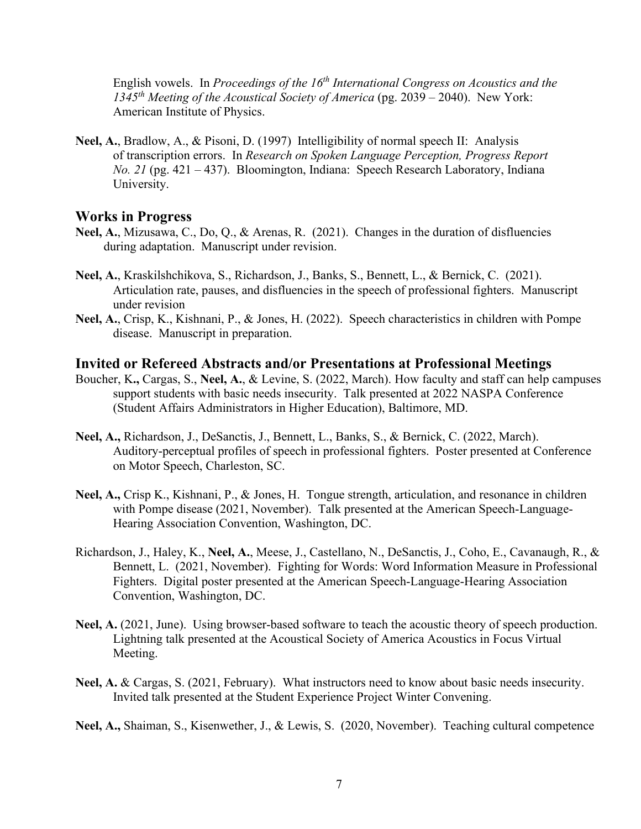English vowels. In *Proceedings of the 16<sup>th</sup> International Congress on Acoustics and the 1345th Meeting of the Acoustical Society of America* (pg. 2039 – 2040). New York: American Institute of Physics.

**Neel, A.**, Bradlow, A., & Pisoni, D. (1997) Intelligibility of normal speech II: Analysis of transcription errors. In *Research on Spoken Language Perception, Progress Report No. 21* (pg. 421 – 437). Bloomington, Indiana: Speech Research Laboratory, Indiana University.

#### **Works in Progress**

- **Neel, A.**, Mizusawa, C., Do, Q., & Arenas, R. (2021). Changes in the duration of disfluencies during adaptation. Manuscript under revision.
- **Neel, A.**, Kraskilshchikova, S., Richardson, J., Banks, S., Bennett, L., & Bernick, C. (2021). Articulation rate, pauses, and disfluencies in the speech of professional fighters. Manuscript under revision
- **Neel, A.**, Crisp, K., Kishnani, P., & Jones, H. (2022). Speech characteristics in children with Pompe disease. Manuscript in preparation.

#### **Invited or Refereed Abstracts and/or Presentations at Professional Meetings**

- Boucher, K**.,** Cargas, S., **Neel, A.**, & Levine, S. (2022, March). How faculty and staff can help campuses support students with basic needs insecurity. Talk presented at 2022 NASPA Conference (Student Affairs Administrators in Higher Education), Baltimore, MD.
- **Neel, A.,** Richardson, J., DeSanctis, J., Bennett, L., Banks, S., & Bernick, C. (2022, March). Auditory-perceptual profiles of speech in professional fighters. Poster presented at Conference on Motor Speech, Charleston, SC.
- **Neel, A.,** Crisp K., Kishnani, P., & Jones, H. Tongue strength, articulation, and resonance in children with Pompe disease (2021, November). Talk presented at the American Speech-Language-Hearing Association Convention, Washington, DC.
- Richardson, J., Haley, K., **Neel, A.**, Meese, J., Castellano, N., DeSanctis, J., Coho, E., Cavanaugh, R., & Bennett, L. (2021, November). Fighting for Words: Word Information Measure in Professional Fighters. Digital poster presented at the American Speech-Language-Hearing Association Convention, Washington, DC.
- **Neel, A.** (2021, June).Using browser-based software to teach the acoustic theory of speech production. Lightning talk presented at the Acoustical Society of America Acoustics in Focus Virtual Meeting.
- **Neel, A.** & Cargas, S. (2021, February). What instructors need to know about basic needs insecurity. Invited talk presented at the Student Experience Project Winter Convening.

**Neel, A.,** Shaiman, S., Kisenwether, J., & Lewis, S. (2020, November). Teaching cultural competence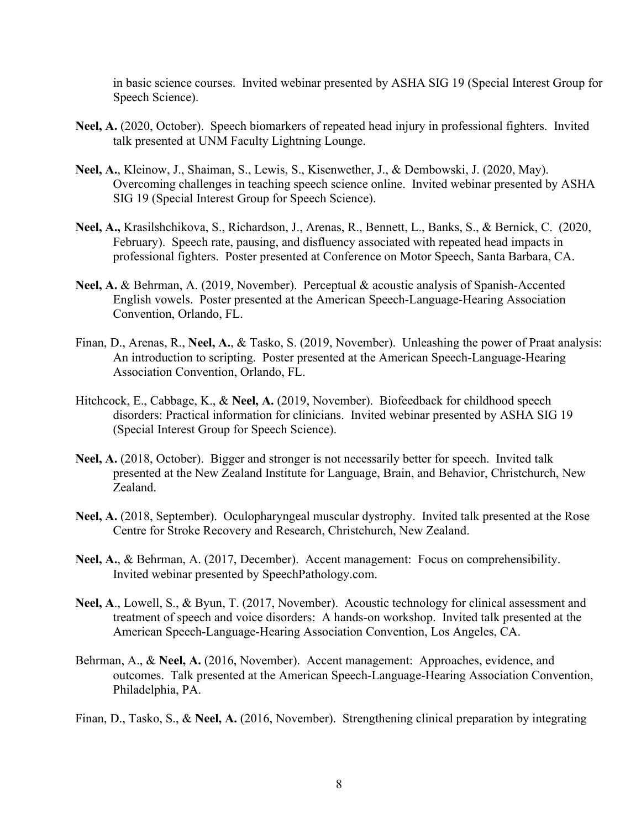in basic science courses. Invited webinar presented by ASHA SIG 19 (Special Interest Group for Speech Science).

- **Neel, A.** (2020, October). Speech biomarkers of repeated head injury in professional fighters. Invited talk presented at UNM Faculty Lightning Lounge.
- **Neel, A.**, Kleinow, J., Shaiman, S., Lewis, S., Kisenwether, J., & Dembowski, J. (2020, May). Overcoming challenges in teaching speech science online. Invited webinar presented by ASHA SIG 19 (Special Interest Group for Speech Science).
- **Neel, A.,** Krasilshchikova, S., Richardson, J., Arenas, R., Bennett, L., Banks, S., & Bernick, C. (2020, February). Speech rate, pausing, and disfluency associated with repeated head impacts in professional fighters. Poster presented at Conference on Motor Speech, Santa Barbara, CA.
- **Neel, A.** & Behrman, A. (2019, November). Perceptual & acoustic analysis of Spanish-Accented English vowels. Poster presented at the American Speech-Language-Hearing Association Convention, Orlando, FL.
- Finan, D., Arenas, R., **Neel, A.**, & Tasko, S. (2019, November). Unleashing the power of Praat analysis: An introduction to scripting. Poster presented at the American Speech-Language-Hearing Association Convention, Orlando, FL.
- Hitchcock, E., Cabbage, K., & **Neel, A.** (2019, November). Biofeedback for childhood speech disorders: Practical information for clinicians. Invited webinar presented by ASHA SIG 19 (Special Interest Group for Speech Science).
- **Neel, A.** (2018, October). Bigger and stronger is not necessarily better for speech. Invited talk presented at the New Zealand Institute for Language, Brain, and Behavior, Christchurch, New Zealand.
- **Neel, A.** (2018, September). Oculopharyngeal muscular dystrophy. Invited talk presented at the Rose Centre for Stroke Recovery and Research, Christchurch, New Zealand.
- **Neel, A.**, & Behrman, A. (2017, December). Accent management: Focus on comprehensibility. Invited webinar presented by SpeechPathology.com.
- **Neel, A**., Lowell, S., & Byun, T. (2017, November). Acoustic technology for clinical assessment and treatment of speech and voice disorders: A hands-on workshop. Invited talk presented at the American Speech-Language-Hearing Association Convention, Los Angeles, CA.
- Behrman, A., & **Neel, A.** (2016, November). Accent management: Approaches, evidence, and outcomes. Talk presented at the American Speech-Language-Hearing Association Convention, Philadelphia, PA.
- Finan, D., Tasko, S., & **Neel, A.** (2016, November). Strengthening clinical preparation by integrating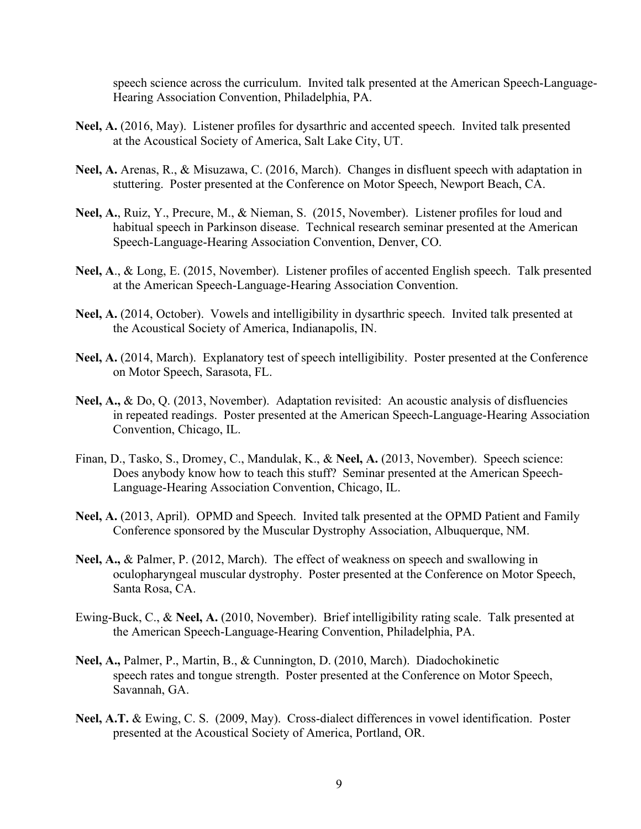speech science across the curriculum. Invited talk presented at the American Speech-Language-Hearing Association Convention, Philadelphia, PA.

- **Neel, A.** (2016, May). Listener profiles for dysarthric and accented speech. Invited talk presented at the Acoustical Society of America, Salt Lake City, UT.
- **Neel, A.** Arenas, R., & Misuzawa, C. (2016, March). Changes in disfluent speech with adaptation in stuttering. Poster presented at the Conference on Motor Speech, Newport Beach, CA.
- **Neel, A.**, Ruiz, Y., Precure, M., & Nieman, S. (2015, November). Listener profiles for loud and habitual speech in Parkinson disease. Technical research seminar presented at the American Speech-Language-Hearing Association Convention, Denver, CO.
- **Neel, A**., & Long, E. (2015, November). Listener profiles of accented English speech. Talk presented at the American Speech-Language-Hearing Association Convention.
- **Neel, A.** (2014, October). Vowels and intelligibility in dysarthric speech. Invited talk presented at the Acoustical Society of America, Indianapolis, IN.
- **Neel, A.** (2014, March). Explanatory test of speech intelligibility. Poster presented at the Conference on Motor Speech, Sarasota, FL.
- **Neel, A.,** & Do, Q. (2013, November). Adaptation revisited: An acoustic analysis of disfluencies in repeated readings. Poster presented at the American Speech-Language-Hearing Association Convention, Chicago, IL.
- Finan, D., Tasko, S., Dromey, C., Mandulak, K., & **Neel, A.** (2013, November). Speech science: Does anybody know how to teach this stuff? Seminar presented at the American Speech-Language-Hearing Association Convention, Chicago, IL.
- **Neel, A.** (2013, April). OPMD and Speech. Invited talk presented at the OPMD Patient and Family Conference sponsored by the Muscular Dystrophy Association, Albuquerque, NM.
- **Neel, A.,** & Palmer, P. (2012, March). The effect of weakness on speech and swallowing in oculopharyngeal muscular dystrophy. Poster presented at the Conference on Motor Speech, Santa Rosa, CA.
- Ewing-Buck, C., & **Neel, A.** (2010, November). Brief intelligibility rating scale. Talk presented at the American Speech-Language-Hearing Convention, Philadelphia, PA.
- **Neel, A.,** Palmer, P., Martin, B., & Cunnington, D. (2010, March). Diadochokinetic speech rates and tongue strength. Poster presented at the Conference on Motor Speech, Savannah, GA.
- **Neel, A.T.** & Ewing, C. S. (2009, May). Cross-dialect differences in vowel identification. Poster presented at the Acoustical Society of America, Portland, OR.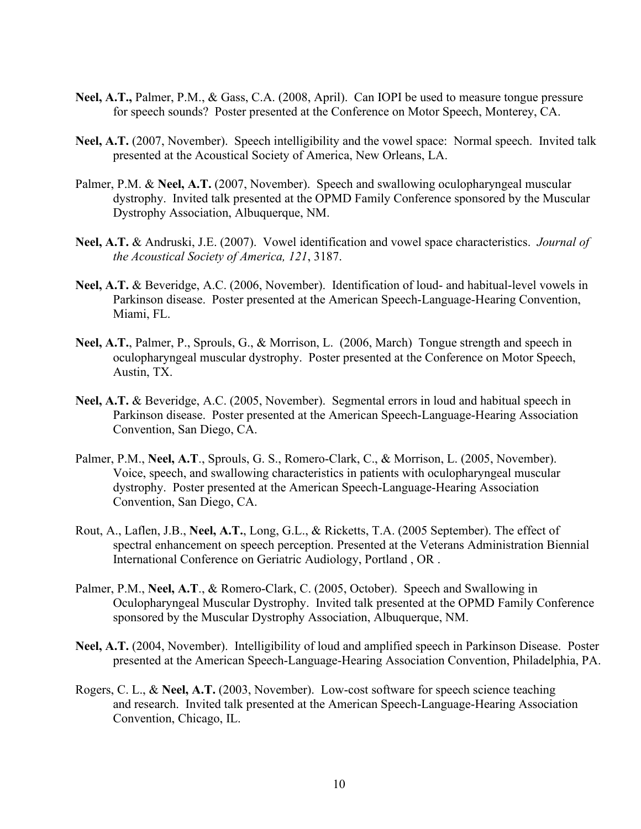- **Neel, A.T.,** Palmer, P.M., & Gass, C.A. (2008, April). Can IOPI be used to measure tongue pressure for speech sounds? Poster presented at the Conference on Motor Speech, Monterey, CA.
- **Neel, A.T.** (2007, November). Speech intelligibility and the vowel space: Normal speech. Invited talk presented at the Acoustical Society of America, New Orleans, LA.
- Palmer, P.M. & **Neel, A.T.** (2007, November). Speech and swallowing oculopharyngeal muscular dystrophy. Invited talk presented at the OPMD Family Conference sponsored by the Muscular Dystrophy Association, Albuquerque, NM.
- **Neel, A.T.** & Andruski, J.E. (2007). Vowel identification and vowel space characteristics. *Journal of the Acoustical Society of America, 121*, 3187.
- **Neel, A.T.** & Beveridge, A.C. (2006, November). Identification of loud- and habitual-level vowels in Parkinson disease. Poster presented at the American Speech-Language-Hearing Convention, Miami, FL.
- **Neel, A.T.**, Palmer, P., Sprouls, G., & Morrison, L. (2006, March) Tongue strength and speech in oculopharyngeal muscular dystrophy. Poster presented at the Conference on Motor Speech, Austin, TX.
- **Neel, A.T.** & Beveridge, A.C. (2005, November). Segmental errors in loud and habitual speech in Parkinson disease. Poster presented at the American Speech-Language-Hearing Association Convention, San Diego, CA.
- Palmer, P.M., **Neel, A.T**., Sprouls, G. S., Romero-Clark, C., & Morrison, L. (2005, November). Voice, speech, and swallowing characteristics in patients with oculopharyngeal muscular dystrophy. Poster presented at the American Speech-Language-Hearing Association Convention, San Diego, CA.
- Rout, A., Laflen, J.B., **Neel, A.T.**, Long, G.L., & Ricketts, T.A. (2005 September). The effect of spectral enhancement on speech perception. Presented at the Veterans Administration Biennial International Conference on Geriatric Audiology, Portland , OR .
- Palmer, P.M., **Neel, A.T**., & Romero-Clark, C. (2005, October). Speech and Swallowing in Oculopharyngeal Muscular Dystrophy. Invited talk presented at the OPMD Family Conference sponsored by the Muscular Dystrophy Association, Albuquerque, NM.
- **Neel, A.T.** (2004, November). Intelligibility of loud and amplified speech in Parkinson Disease. Poster presented at the American Speech-Language-Hearing Association Convention, Philadelphia, PA.
- Rogers, C. L., & **Neel, A.T.** (2003, November). Low-cost software for speech science teaching and research. Invited talk presented at the American Speech-Language-Hearing Association Convention, Chicago, IL.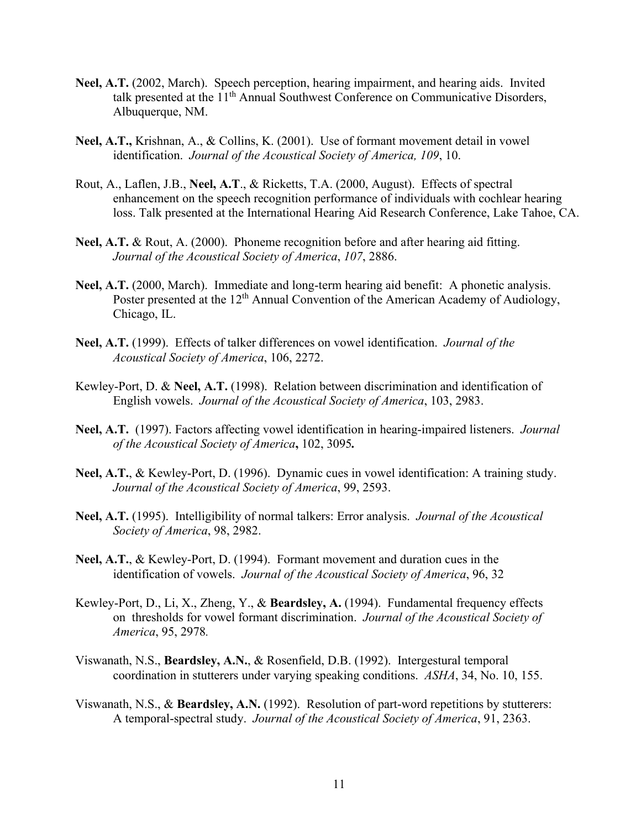- **Neel, A.T.** (2002, March). Speech perception, hearing impairment, and hearing aids. Invited talk presented at the 11<sup>th</sup> Annual Southwest Conference on Communicative Disorders, Albuquerque, NM.
- **Neel, A.T.,** Krishnan, A., & Collins, K. (2001). Use of formant movement detail in vowel identification. *Journal of the Acoustical Society of America, 109*, 10.
- Rout, A., Laflen, J.B., **Neel, A.T**., & Ricketts, T.A. (2000, August). Effects of spectral enhancement on the speech recognition performance of individuals with cochlear hearing loss. Talk presented at the International Hearing Aid Research Conference, Lake Tahoe, CA.
- **Neel, A.T.** & Rout, A. (2000). Phoneme recognition before and after hearing aid fitting. *Journal of the Acoustical Society of America*, *107*, 2886.
- **Neel, A.T.** (2000, March). Immediate and long-term hearing aid benefit: A phonetic analysis. Poster presented at the 12<sup>th</sup> Annual Convention of the American Academy of Audiology, Chicago, IL.
- **Neel, A.T.** (1999). Effects of talker differences on vowel identification. *Journal of the Acoustical Society of America*, 106, 2272.
- Kewley-Port, D. & **Neel, A.T.** (1998). Relation between discrimination and identification of English vowels. *Journal of the Acoustical Society of America*, 103, 2983.
- **Neel, A.T.** (1997). Factors affecting vowel identification in hearing-impaired listeners. *Journal of the Acoustical Society of America***,** 102, 3095*.*
- **Neel, A.T.**, & Kewley-Port, D. (1996). Dynamic cues in vowel identification: A training study. *Journal of the Acoustical Society of America*, 99, 2593.
- **Neel, A.T.** (1995). Intelligibility of normal talkers: Error analysis. *Journal of the Acoustical Society of America*, 98, 2982.
- **Neel, A.T.**, & Kewley-Port, D. (1994). Formant movement and duration cues in the identification of vowels. *Journal of the Acoustical Society of America*, 96, 32
- Kewley-Port, D., Li, X., Zheng, Y., & **Beardsley, A.** (1994). Fundamental frequency effects on thresholds for vowel formant discrimination. *Journal of the Acoustical Society of America*, 95, 2978*.*
- Viswanath, N.S., **Beardsley, A.N.**, & Rosenfield, D.B. (1992). Intergestural temporal coordination in stutterers under varying speaking conditions. *ASHA*, 34, No. 10, 155.
- Viswanath, N.S., & **Beardsley, A.N.** (1992). Resolution of part-word repetitions by stutterers: A temporal-spectral study. *Journal of the Acoustical Society of America*, 91, 2363.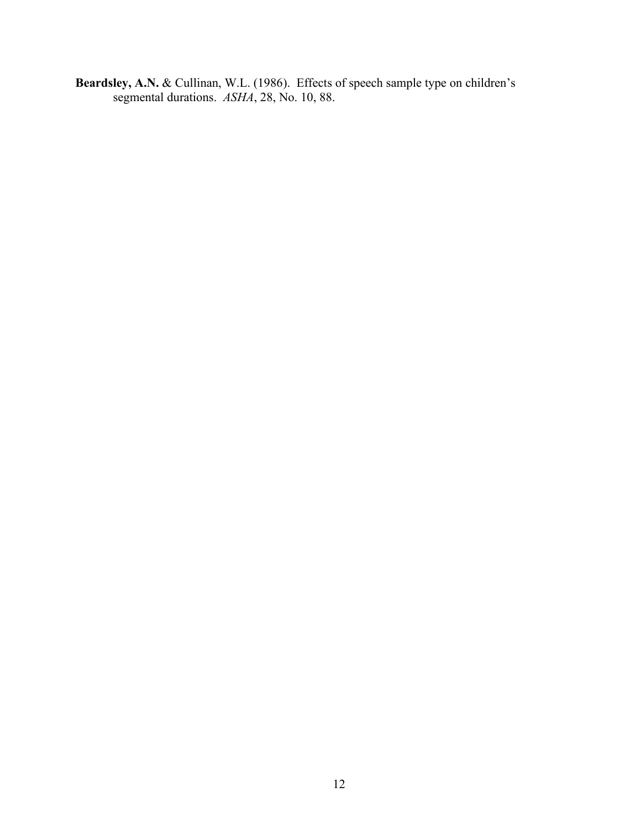**Beardsley, A.N.** & Cullinan, W.L. (1986). Effects of speech sample type on children's segmental durations. *ASHA*, 28, No. 10, 88.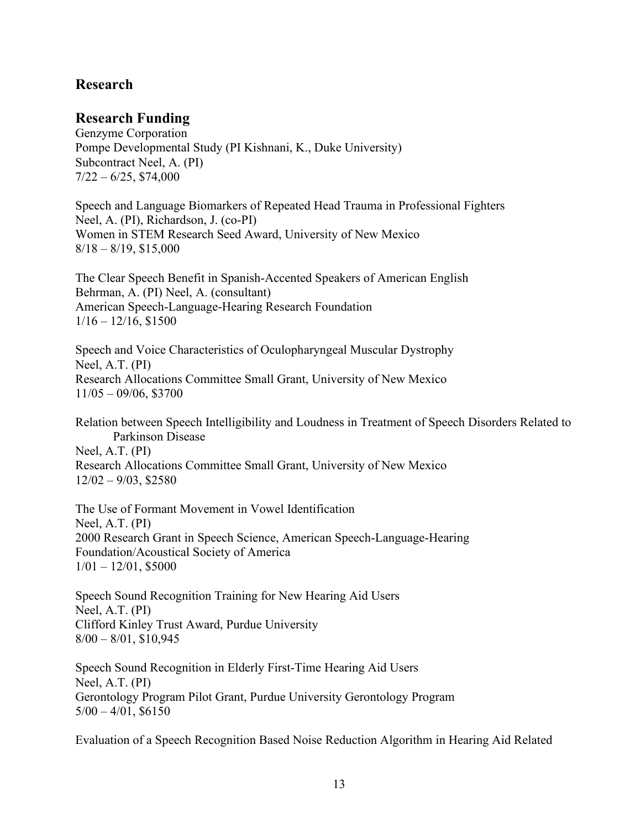# **Research**

# **Research Funding**

Genzyme Corporation Pompe Developmental Study (PI Kishnani, K., Duke University) Subcontract Neel, A. (PI)  $7/22 - 6/25$ , \$74,000

Speech and Language Biomarkers of Repeated Head Trauma in Professional Fighters Neel, A. (PI), Richardson, J. (co-PI) Women in STEM Research Seed Award, University of New Mexico  $8/18 - 8/19$ , \$15,000

The Clear Speech Benefit in Spanish-Accented Speakers of American English Behrman, A. (PI) Neel, A. (consultant) American Speech-Language-Hearing Research Foundation  $1/16 - 12/16$ , \$1500

Speech and Voice Characteristics of Oculopharyngeal Muscular Dystrophy Neel, A.T. (PI) Research Allocations Committee Small Grant, University of New Mexico 11/05 – 09/06, \$3700

Relation between Speech Intelligibility and Loudness in Treatment of Speech Disorders Related to Parkinson Disease Neel, A.T. (PI) Research Allocations Committee Small Grant, University of New Mexico

12/02 – 9/03, \$2580

The Use of Formant Movement in Vowel Identification Neel, A.T. (PI) 2000 Research Grant in Speech Science, American Speech-Language-Hearing Foundation/Acoustical Society of America  $1/01 - 12/01$ , \$5000

Speech Sound Recognition Training for New Hearing Aid Users Neel, A.T. (PI) Clifford Kinley Trust Award, Purdue University  $8/00 - 8/01$ , \$10,945

Speech Sound Recognition in Elderly First-Time Hearing Aid Users Neel, A.T. (PI) Gerontology Program Pilot Grant, Purdue University Gerontology Program  $5/00 - 4/01$ , \$6150

Evaluation of a Speech Recognition Based Noise Reduction Algorithm in Hearing Aid Related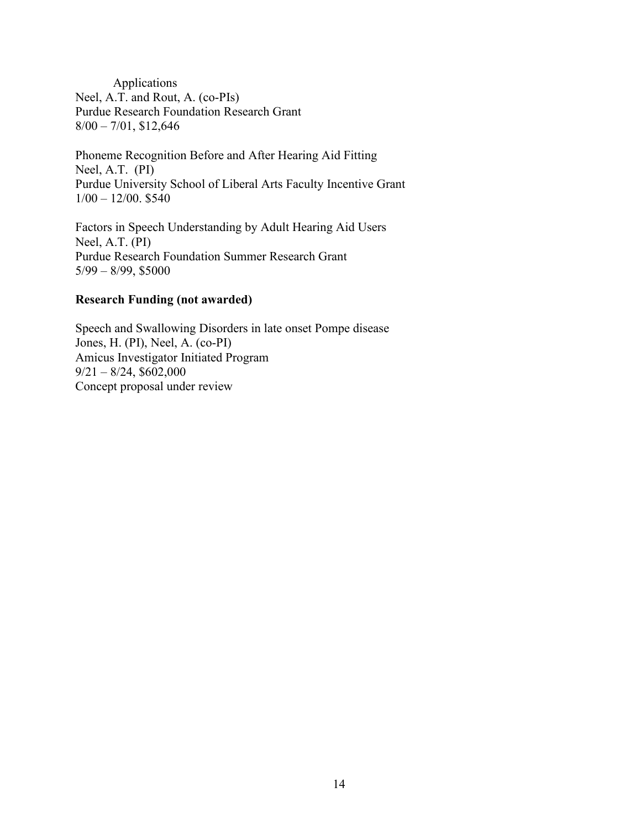Applications Neel, A.T. and Rout, A. (co-PIs) Purdue Research Foundation Research Grant 8/00 – 7/01, \$12,646

Phoneme Recognition Before and After Hearing Aid Fitting Neel, A.T. (PI) Purdue University School of Liberal Arts Faculty Incentive Grant  $1/00 - 12/00.$ \$540

Factors in Speech Understanding by Adult Hearing Aid Users Neel, A.T. (PI) Purdue Research Foundation Summer Research Grant 5/99 – 8/99, \$5000

#### **Research Funding (not awarded)**

Speech and Swallowing Disorders in late onset Pompe disease Jones, H. (PI), Neel, A. (co-PI) Amicus Investigator Initiated Program  $9/21 - 8/24$ , \$602,000 Concept proposal under review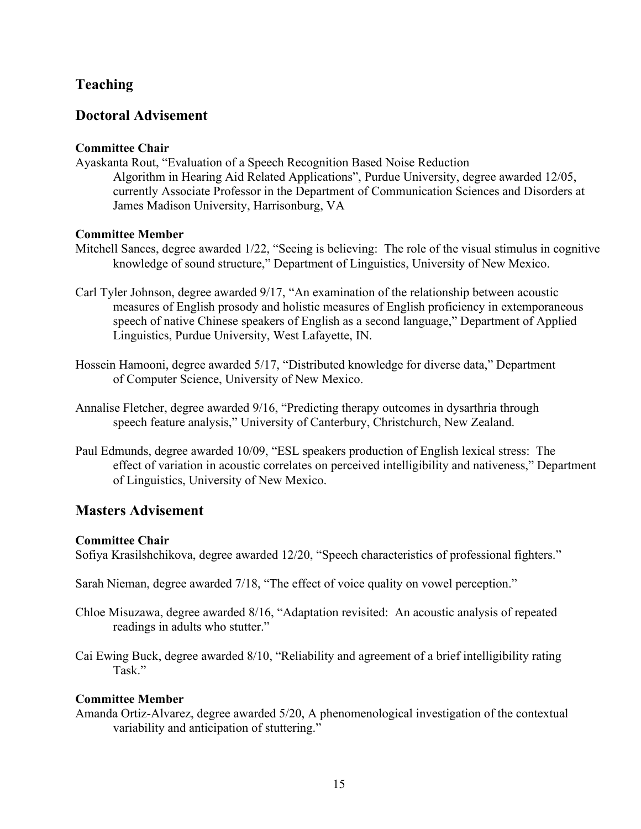# **Teaching**

# **Doctoral Advisement**

## **Committee Chair**

Ayaskanta Rout, "Evaluation of a Speech Recognition Based Noise Reduction Algorithm in Hearing Aid Related Applications", Purdue University, degree awarded 12/05, currently Associate Professor in the Department of Communication Sciences and Disorders at James Madison University, Harrisonburg, VA

## **Committee Member**

- Mitchell Sances, degree awarded 1/22, "Seeing is believing: The role of the visual stimulus in cognitive knowledge of sound structure," Department of Linguistics, University of New Mexico.
- Carl Tyler Johnson, degree awarded 9/17, "An examination of the relationship between acoustic measures of English prosody and holistic measures of English proficiency in extemporaneous speech of native Chinese speakers of English as a second language," Department of Applied Linguistics, Purdue University, West Lafayette, IN.
- Hossein Hamooni, degree awarded 5/17, "Distributed knowledge for diverse data," Department of Computer Science, University of New Mexico.
- Annalise Fletcher, degree awarded 9/16, "Predicting therapy outcomes in dysarthria through speech feature analysis," University of Canterbury, Christchurch, New Zealand.
- Paul Edmunds, degree awarded 10/09, "ESL speakers production of English lexical stress: The effect of variation in acoustic correlates on perceived intelligibility and nativeness," Department of Linguistics, University of New Mexico.

## **Masters Advisement**

#### **Committee Chair**

Sofiya Krasilshchikova, degree awarded 12/20, "Speech characteristics of professional fighters."

Sarah Nieman, degree awarded 7/18, "The effect of voice quality on vowel perception."

- Chloe Misuzawa, degree awarded 8/16, "Adaptation revisited: An acoustic analysis of repeated readings in adults who stutter."
- Cai Ewing Buck, degree awarded 8/10, "Reliability and agreement of a brief intelligibility rating Task."

## **Committee Member**

Amanda Ortiz-Alvarez, degree awarded 5/20, A phenomenological investigation of the contextual variability and anticipation of stuttering."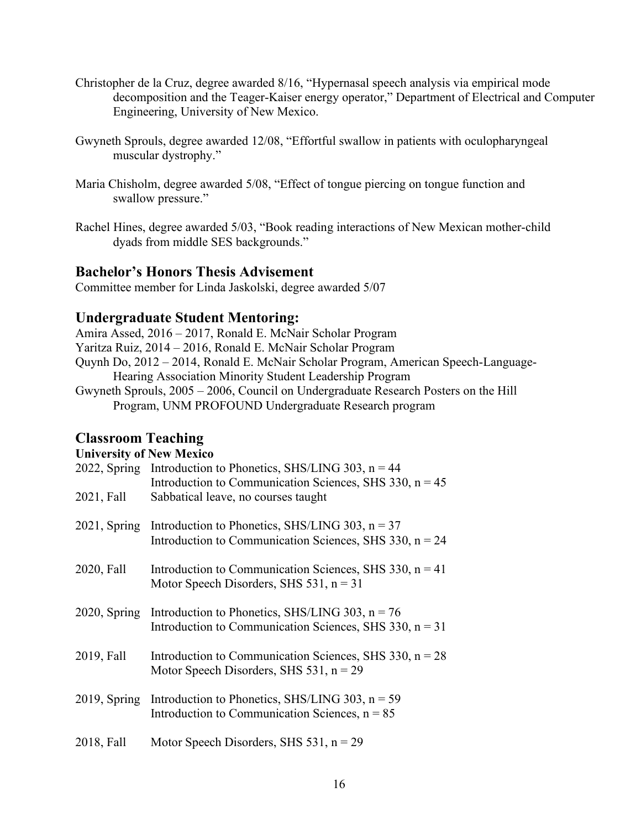- Christopher de la Cruz, degree awarded 8/16, "Hypernasal speech analysis via empirical mode decomposition and the Teager-Kaiser energy operator," Department of Electrical and Computer Engineering, University of New Mexico.
- Gwyneth Sprouls, degree awarded 12/08, "Effortful swallow in patients with oculopharyngeal muscular dystrophy."
- Maria Chisholm, degree awarded 5/08, "Effect of tongue piercing on tongue function and swallow pressure."
- Rachel Hines, degree awarded 5/03, "Book reading interactions of New Mexican mother-child dyads from middle SES backgrounds."

## **Bachelor's Honors Thesis Advisement**

Committee member for Linda Jaskolski, degree awarded 5/07

# **Undergraduate Student Mentoring:**

Amira Assed, 2016 – 2017, Ronald E. McNair Scholar Program Yaritza Ruiz, 2014 – 2016, Ronald E. McNair Scholar Program Quynh Do, 2012 – 2014, Ronald E. McNair Scholar Program, American Speech-Language-Hearing Association Minority Student Leadership Program Gwyneth Sprouls, 2005 – 2006, Council on Undergraduate Research Posters on the Hill Program, UNM PROFOUND Undergraduate Research program

# **Classroom Teaching**

#### **University of New Mexico**

| CHIVELOICY OF THEM INTERNEU |                                                                                                                             |
|-----------------------------|-----------------------------------------------------------------------------------------------------------------------------|
|                             | 2022, Spring Introduction to Phonetics, SHS/LING 303, $n = 44$<br>Introduction to Communication Sciences, SHS 330, $n = 45$ |
| 2021, Fall                  | Sabbatical leave, no courses taught                                                                                         |
| $2021$ , Spring             | Introduction to Phonetics, SHS/LING 303, $n = 37$<br>Introduction to Communication Sciences, SHS 330, $n = 24$              |
| 2020, Fall                  | Introduction to Communication Sciences, SHS 330, $n = 41$<br>Motor Speech Disorders, SHS $531$ , $n = 31$                   |
| $2020$ , Spring             | Introduction to Phonetics, SHS/LING 303, $n = 76$<br>Introduction to Communication Sciences, SHS 330, $n = 31$              |
| 2019, Fall                  | Introduction to Communication Sciences, SHS 330, $n = 28$<br>Motor Speech Disorders, SHS $531$ , $n = 29$                   |
| $2019$ , Spring             | Introduction to Phonetics, SHS/LING 303, $n = 59$<br>Introduction to Communication Sciences, $n = 85$                       |
| 2018, Fall                  | Motor Speech Disorders, SHS $531$ , $n = 29$                                                                                |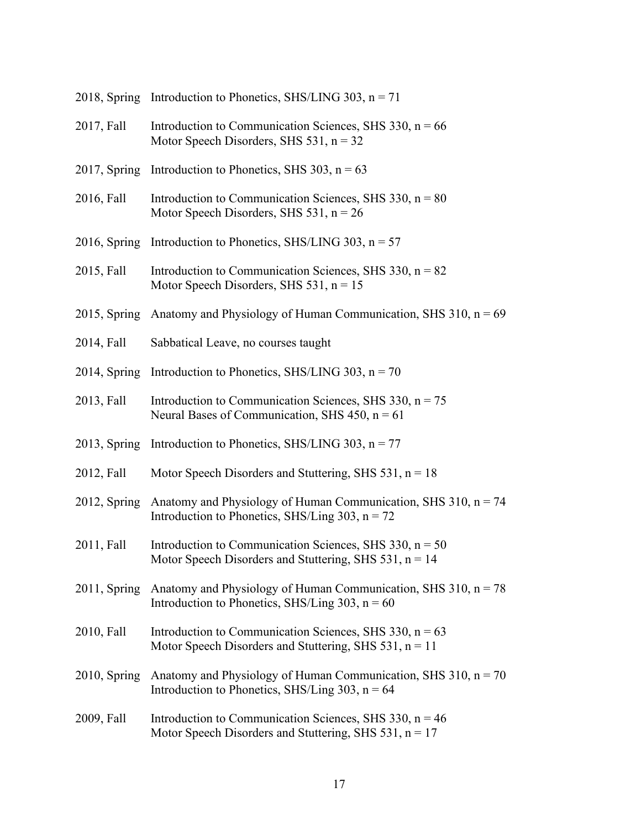|                 | 2018, Spring Introduction to Phonetics, SHS/LING 303, $n = 71$                                                                     |
|-----------------|------------------------------------------------------------------------------------------------------------------------------------|
| 2017, Fall      | Introduction to Communication Sciences, SHS 330, $n = 66$<br>Motor Speech Disorders, SHS $531$ , $n = 32$                          |
|                 | 2017, Spring Introduction to Phonetics, SHS 303, $n = 63$                                                                          |
| 2016, Fall      | Introduction to Communication Sciences, SHS 330, $n = 80$<br>Motor Speech Disorders, SHS $531$ , $n = 26$                          |
|                 | 2016, Spring Introduction to Phonetics, SHS/LING 303, $n = 57$                                                                     |
| 2015, Fall      | Introduction to Communication Sciences, SHS 330, $n = 82$<br>Motor Speech Disorders, SHS $531$ , $n = 15$                          |
|                 | 2015, Spring Anatomy and Physiology of Human Communication, SHS 310, $n = 69$                                                      |
| 2014, Fall      | Sabbatical Leave, no courses taught                                                                                                |
|                 | 2014, Spring Introduction to Phonetics, SHS/LING 303, $n = 70$                                                                     |
| 2013, Fall      | Introduction to Communication Sciences, SHS 330, $n = 75$<br>Neural Bases of Communication, SHS 450, $n = 61$                      |
|                 | 2013, Spring Introduction to Phonetics, SHS/LING 303, $n = 77$                                                                     |
| 2012, Fall      | Motor Speech Disorders and Stuttering, SHS $531$ , $n = 18$                                                                        |
|                 | 2012, Spring Anatomy and Physiology of Human Communication, SHS 310, $n = 74$<br>Introduction to Phonetics, SHS/Ling 303, $n = 72$ |
| 2011, Fall      | Introduction to Communication Sciences, SHS 330, $n = 50$<br>Motor Speech Disorders and Stuttering, SHS $531$ , $n = 14$           |
| $2011$ , Spring | Anatomy and Physiology of Human Communication, SHS 310, $n = 78$<br>Introduction to Phonetics, SHS/Ling 303, $n = 60$              |
| 2010, Fall      | Introduction to Communication Sciences, SHS 330, $n = 63$<br>Motor Speech Disorders and Stuttering, SHS 531, $n = 11$              |
| $2010$ , Spring | Anatomy and Physiology of Human Communication, SHS 310, $n = 70$<br>Introduction to Phonetics, SHS/Ling 303, $n = 64$              |
| 2009, Fall      | Introduction to Communication Sciences, SHS 330, $n = 46$<br>Motor Speech Disorders and Stuttering, SHS 531, $n = 17$              |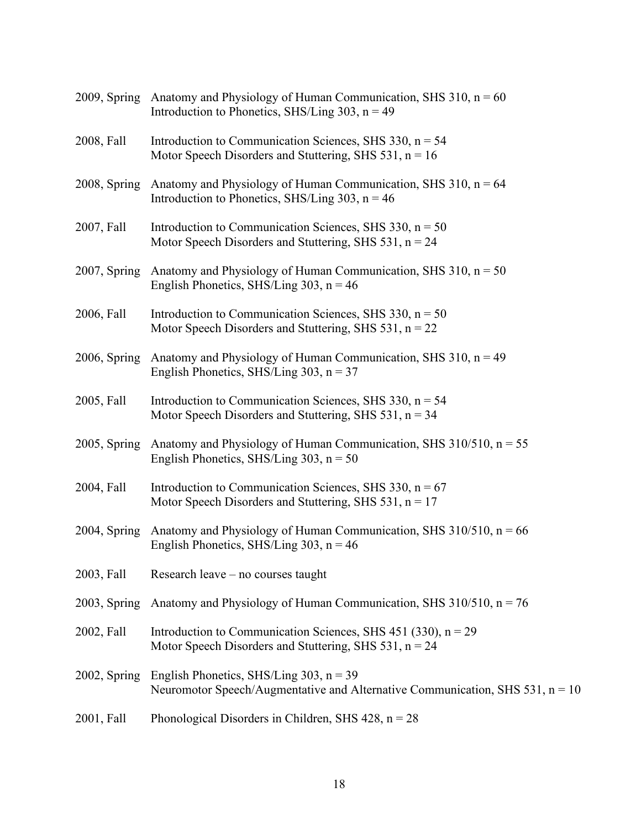|                 | 2009, Spring Anatomy and Physiology of Human Communication, SHS 310, $n = 60$<br>Introduction to Phonetics, SHS/Ling 303, $n = 49$ |
|-----------------|------------------------------------------------------------------------------------------------------------------------------------|
| 2008, Fall      | Introduction to Communication Sciences, SHS 330, $n = 54$<br>Motor Speech Disorders and Stuttering, SHS 531, $n = 16$              |
| 2008, Spring    | Anatomy and Physiology of Human Communication, SHS $310$ , $n = 64$<br>Introduction to Phonetics, SHS/Ling 303, $n = 46$           |
| 2007, Fall      | Introduction to Communication Sciences, SHS 330, $n = 50$<br>Motor Speech Disorders and Stuttering, SHS 531, $n = 24$              |
|                 | 2007, Spring Anatomy and Physiology of Human Communication, SHS 310, $n = 50$<br>English Phonetics, SHS/Ling 303, $n = 46$         |
| 2006, Fall      | Introduction to Communication Sciences, SHS 330, $n = 50$<br>Motor Speech Disorders and Stuttering, SHS 531, $n = 22$              |
| $2006$ , Spring | Anatomy and Physiology of Human Communication, SHS $310$ , $n = 49$<br>English Phonetics, SHS/Ling 303, $n = 37$                   |
| 2005, Fall      | Introduction to Communication Sciences, SHS 330, $n = 54$<br>Motor Speech Disorders and Stuttering, SHS 531, $n = 34$              |
| $2005$ , Spring | Anatomy and Physiology of Human Communication, SHS $310/510$ , $n = 55$<br>English Phonetics, SHS/Ling $303$ , n = 50              |
| 2004, Fall      | Introduction to Communication Sciences, SHS 330, $n = 67$<br>Motor Speech Disorders and Stuttering, SHS 531, $n = 17$              |
|                 | 2004, Spring Anatomy and Physiology of Human Communication, SHS $310/510$ , n = 66<br>English Phonetics, SHS/Ling 303, $n = 46$    |
| 2003, Fall      | Research leave – no courses taught                                                                                                 |
| 2003, Spring    | Anatomy and Physiology of Human Communication, SHS 310/510, $n = 76$                                                               |
| 2002, Fall      | Introduction to Communication Sciences, SHS 451 (330), $n = 29$<br>Motor Speech Disorders and Stuttering, SHS 531, $n = 24$        |
| 2002, Spring    | English Phonetics, SHS/Ling $303$ , n = 39<br>Neuromotor Speech/Augmentative and Alternative Communication, SHS $531$ , n = 10     |
| 2001, Fall      | Phonological Disorders in Children, SHS 428, $n = 28$                                                                              |
|                 |                                                                                                                                    |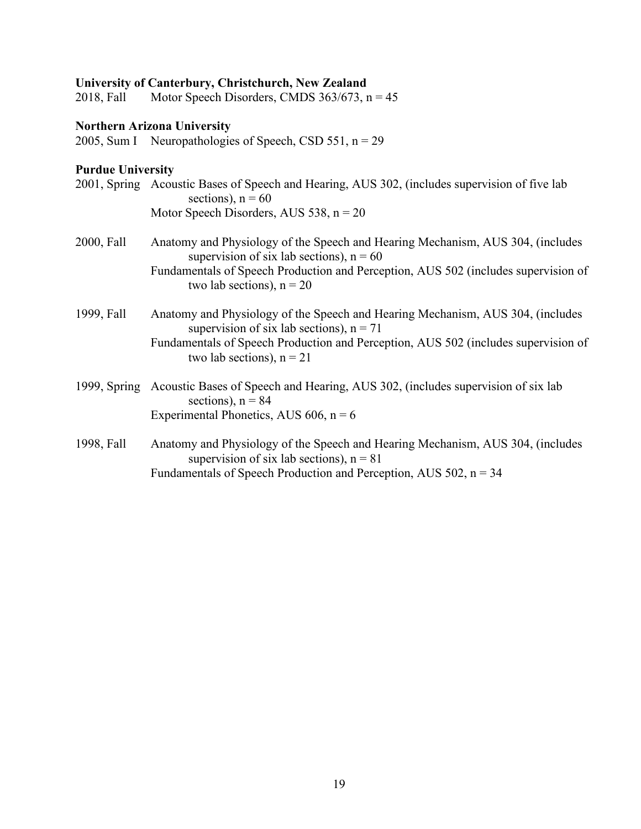**University of Canterbury, Christchurch, New Zealand** Motor Speech Disorders, CMDS  $363/673$ , n = 45

# **Northern Arizona University**

2005, Sum I Neuropathologies of Speech, CSD 551,  $n = 29$ 

# **Purdue University**

|            | 2001, Spring Acoustic Bases of Speech and Hearing, AUS 302, (includes supervision of five lab<br>sections), $n = 60$         |
|------------|------------------------------------------------------------------------------------------------------------------------------|
|            | Motor Speech Disorders, AUS 538, $n = 20$                                                                                    |
| 2000, Fall | Anatomy and Physiology of the Speech and Hearing Mechanism, AUS 304, (includes<br>supervision of six lab sections), $n = 60$ |
|            | Fundamentals of Speech Production and Perception, AUS 502 (includes supervision of<br>two lab sections), $n = 20$            |
| 1999, Fall | Anatomy and Physiology of the Speech and Hearing Mechanism, AUS 304, (includes<br>supervision of six lab sections), $n = 71$ |
|            | Fundamentals of Speech Production and Perception, AUS 502 (includes supervision of<br>two lab sections), $n = 21$            |
|            | 1999, Spring Acoustic Bases of Speech and Hearing, AUS 302, (includes supervision of six lab<br>sections), $n = 84$          |
|            | Experimental Phonetics, AUS 606, $n = 6$                                                                                     |
| 1998, Fall | Anatomy and Physiology of the Speech and Hearing Mechanism, AUS 304, (includes<br>supervision of six lab sections), $n = 81$ |
|            | Fundamentals of Speech Production and Perception, AUS $502$ , $n = 34$                                                       |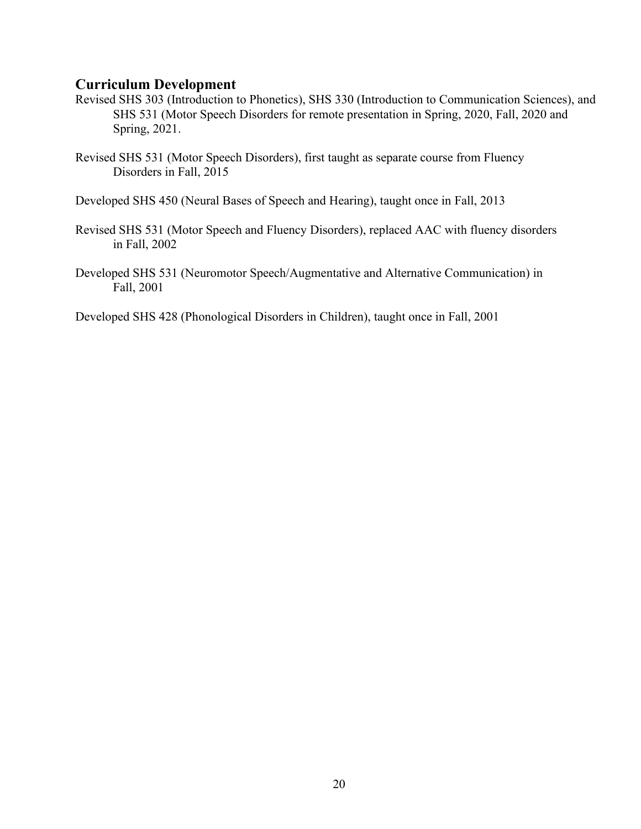## **Curriculum Development**

- Revised SHS 303 (Introduction to Phonetics), SHS 330 (Introduction to Communication Sciences), and SHS 531 (Motor Speech Disorders for remote presentation in Spring, 2020, Fall, 2020 and Spring, 2021.
- Revised SHS 531 (Motor Speech Disorders), first taught as separate course from Fluency Disorders in Fall, 2015

Developed SHS 450 (Neural Bases of Speech and Hearing), taught once in Fall, 2013

- Revised SHS 531 (Motor Speech and Fluency Disorders), replaced AAC with fluency disorders in Fall, 2002
- Developed SHS 531 (Neuromotor Speech/Augmentative and Alternative Communication) in Fall, 2001

Developed SHS 428 (Phonological Disorders in Children), taught once in Fall, 2001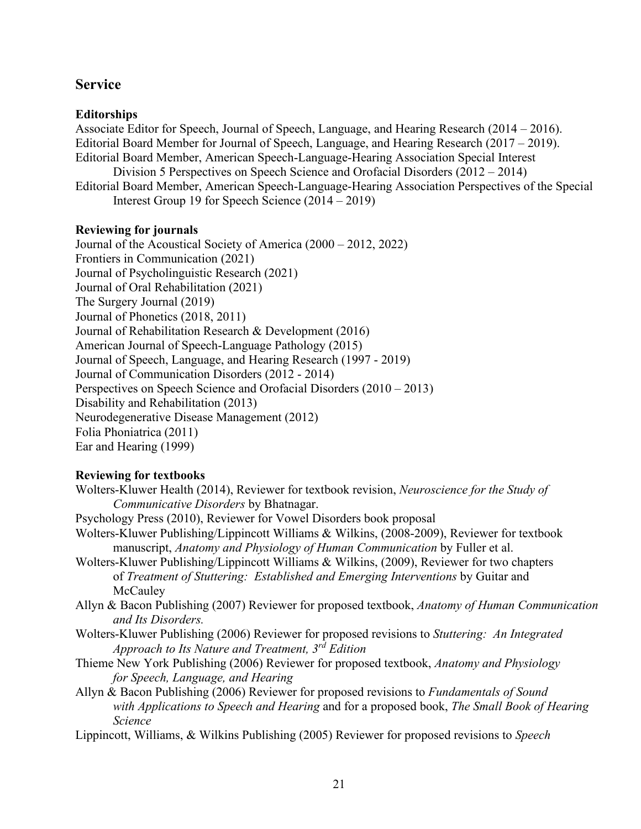# **Service**

## **Editorships**

Associate Editor for Speech, Journal of Speech, Language, and Hearing Research (2014 – 2016). Editorial Board Member for Journal of Speech, Language, and Hearing Research (2017 – 2019). Editorial Board Member, American Speech-Language-Hearing Association Special Interest

Division 5 Perspectives on Speech Science and Orofacial Disorders (2012 – 2014)

Editorial Board Member, American Speech-Language-Hearing Association Perspectives of the Special Interest Group 19 for Speech Science (2014 – 2019)

## **Reviewing for journals**

Journal of the Acoustical Society of America (2000 – 2012, 2022) Frontiers in Communication (2021) Journal of Psycholinguistic Research (2021) Journal of Oral Rehabilitation (2021) The Surgery Journal (2019) Journal of Phonetics (2018, 2011) Journal of Rehabilitation Research & Development (2016) American Journal of Speech-Language Pathology (2015) Journal of Speech, Language, and Hearing Research (1997 - 2019) Journal of Communication Disorders (2012 - 2014) Perspectives on Speech Science and Orofacial Disorders (2010 – 2013) Disability and Rehabilitation (2013) Neurodegenerative Disease Management (2012) Folia Phoniatrica (2011) Ear and Hearing (1999)

## **Reviewing for textbooks**

- Wolters-Kluwer Health (2014), Reviewer for textbook revision, *Neuroscience for the Study of Communicative Disorders* by Bhatnagar.
- Psychology Press (2010), Reviewer for Vowel Disorders book proposal
- Wolters-Kluwer Publishing/Lippincott Williams & Wilkins, (2008-2009), Reviewer for textbook manuscript, *Anatomy and Physiology of Human Communication* by Fuller et al.
- Wolters-Kluwer Publishing/Lippincott Williams & Wilkins, (2009), Reviewer for two chapters of *Treatment of Stuttering: Established and Emerging Interventions* by Guitar and **McCauley**
- Allyn & Bacon Publishing (2007) Reviewer for proposed textbook, *Anatomy of Human Communication and Its Disorders.*
- Wolters-Kluwer Publishing (2006) Reviewer for proposed revisions to *Stuttering: An Integrated Approach to Its Nature and Treatment, 3rd Edition*
- Thieme New York Publishing (2006) Reviewer for proposed textbook, *Anatomy and Physiology for Speech, Language, and Hearing*
- Allyn & Bacon Publishing (2006) Reviewer for proposed revisions to *Fundamentals of Sound with Applications to Speech and Hearing* and for a proposed book, *The Small Book of Hearing Science*
- Lippincott, Williams, & Wilkins Publishing (2005) Reviewer for proposed revisions to *Speech*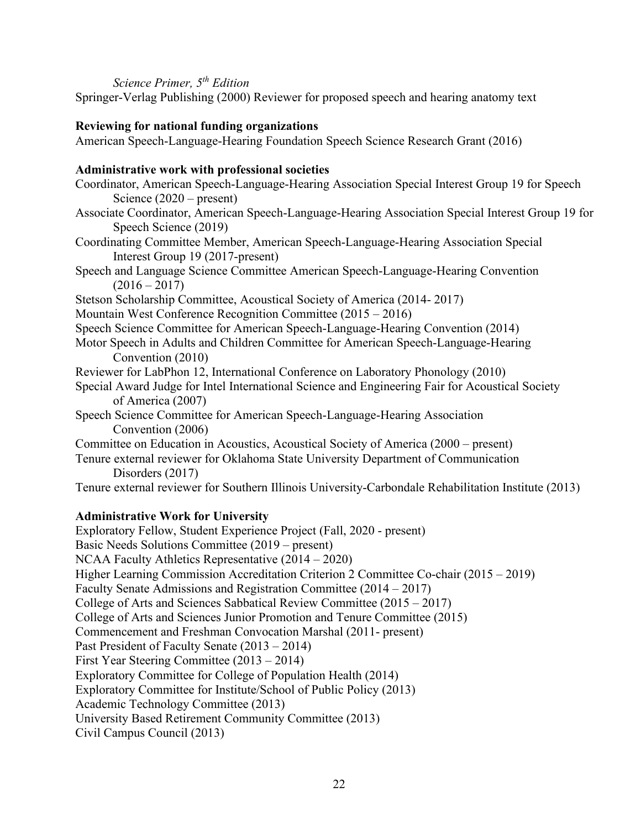#### *Science Primer, 5th Edition*

Springer-Verlag Publishing (2000) Reviewer for proposed speech and hearing anatomy text

## **Reviewing for national funding organizations**

American Speech-Language-Hearing Foundation Speech Science Research Grant (2016)

## **Administrative work with professional societies**

- Coordinator, American Speech-Language-Hearing Association Special Interest Group 19 for Speech Science (2020 – present)
- Associate Coordinator, American Speech-Language-Hearing Association Special Interest Group 19 for Speech Science (2019)
- Coordinating Committee Member, American Speech-Language-Hearing Association Special Interest Group 19 (2017-present)
- Speech and Language Science Committee American Speech-Language-Hearing Convention  $(2016 - 2017)$
- Stetson Scholarship Committee, Acoustical Society of America (2014- 2017)
- Mountain West Conference Recognition Committee (2015 2016)
- Speech Science Committee for American Speech-Language-Hearing Convention (2014)
- Motor Speech in Adults and Children Committee for American Speech-Language-Hearing Convention (2010)
- Reviewer for LabPhon 12, International Conference on Laboratory Phonology (2010)
- Special Award Judge for Intel International Science and Engineering Fair for Acoustical Society of America (2007)
- Speech Science Committee for American Speech-Language-Hearing Association Convention (2006)
- Committee on Education in Acoustics, Acoustical Society of America (2000 present)
- Tenure external reviewer for Oklahoma State University Department of Communication Disorders (2017)

Tenure external reviewer for Southern Illinois University-Carbondale Rehabilitation Institute (2013)

## **Administrative Work for University**

Exploratory Fellow, Student Experience Project (Fall, 2020 - present) Basic Needs Solutions Committee (2019 – present) NCAA Faculty Athletics Representative (2014 – 2020) Higher Learning Commission Accreditation Criterion 2 Committee Co-chair (2015 – 2019) Faculty Senate Admissions and Registration Committee (2014 – 2017) College of Arts and Sciences Sabbatical Review Committee (2015 – 2017) College of Arts and Sciences Junior Promotion and Tenure Committee (2015) Commencement and Freshman Convocation Marshal (2011- present) Past President of Faculty Senate (2013 – 2014) First Year Steering Committee (2013 – 2014) Exploratory Committee for College of Population Health (2014) Exploratory Committee for Institute/School of Public Policy (2013) Academic Technology Committee (2013) University Based Retirement Community Committee (2013) Civil Campus Council (2013)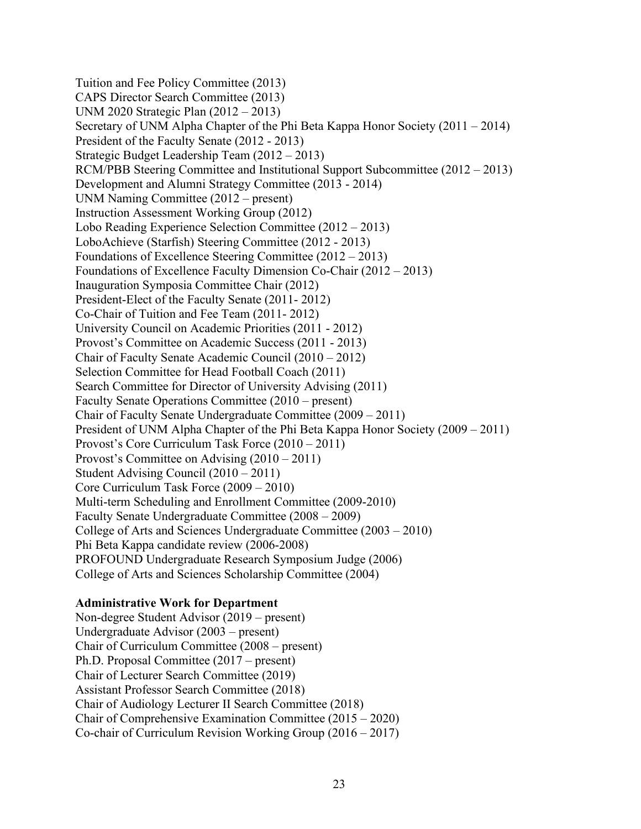Tuition and Fee Policy Committee (2013) CAPS Director Search Committee (2013) UNM 2020 Strategic Plan (2012 – 2013) Secretary of UNM Alpha Chapter of the Phi Beta Kappa Honor Society (2011 – 2014) President of the Faculty Senate (2012 - 2013) Strategic Budget Leadership Team (2012 – 2013) RCM/PBB Steering Committee and Institutional Support Subcommittee (2012 – 2013) Development and Alumni Strategy Committee (2013 - 2014) UNM Naming Committee (2012 – present) Instruction Assessment Working Group (2012) Lobo Reading Experience Selection Committee (2012 – 2013) LoboAchieve (Starfish) Steering Committee (2012 - 2013) Foundations of Excellence Steering Committee (2012 – 2013) Foundations of Excellence Faculty Dimension Co-Chair (2012 – 2013) Inauguration Symposia Committee Chair (2012) President-Elect of the Faculty Senate (2011- 2012) Co-Chair of Tuition and Fee Team (2011- 2012) University Council on Academic Priorities (2011 - 2012) Provost's Committee on Academic Success (2011 - 2013) Chair of Faculty Senate Academic Council (2010 – 2012) Selection Committee for Head Football Coach (2011) Search Committee for Director of University Advising (2011) Faculty Senate Operations Committee (2010 – present) Chair of Faculty Senate Undergraduate Committee (2009 – 2011) President of UNM Alpha Chapter of the Phi Beta Kappa Honor Society (2009 – 2011) Provost's Core Curriculum Task Force (2010 – 2011) Provost's Committee on Advising (2010 – 2011) Student Advising Council (2010 – 2011) Core Curriculum Task Force (2009 – 2010) Multi-term Scheduling and Enrollment Committee (2009-2010) Faculty Senate Undergraduate Committee (2008 – 2009) College of Arts and Sciences Undergraduate Committee (2003 – 2010) Phi Beta Kappa candidate review (2006-2008) PROFOUND Undergraduate Research Symposium Judge (2006) College of Arts and Sciences Scholarship Committee (2004)

#### **Administrative Work for Department**

Non-degree Student Advisor (2019 – present) Undergraduate Advisor (2003 – present) Chair of Curriculum Committee (2008 – present) Ph.D. Proposal Committee (2017 – present) Chair of Lecturer Search Committee (2019) Assistant Professor Search Committee (2018) Chair of Audiology Lecturer II Search Committee (2018) Chair of Comprehensive Examination Committee (2015 – 2020) Co-chair of Curriculum Revision Working Group (2016 – 2017)